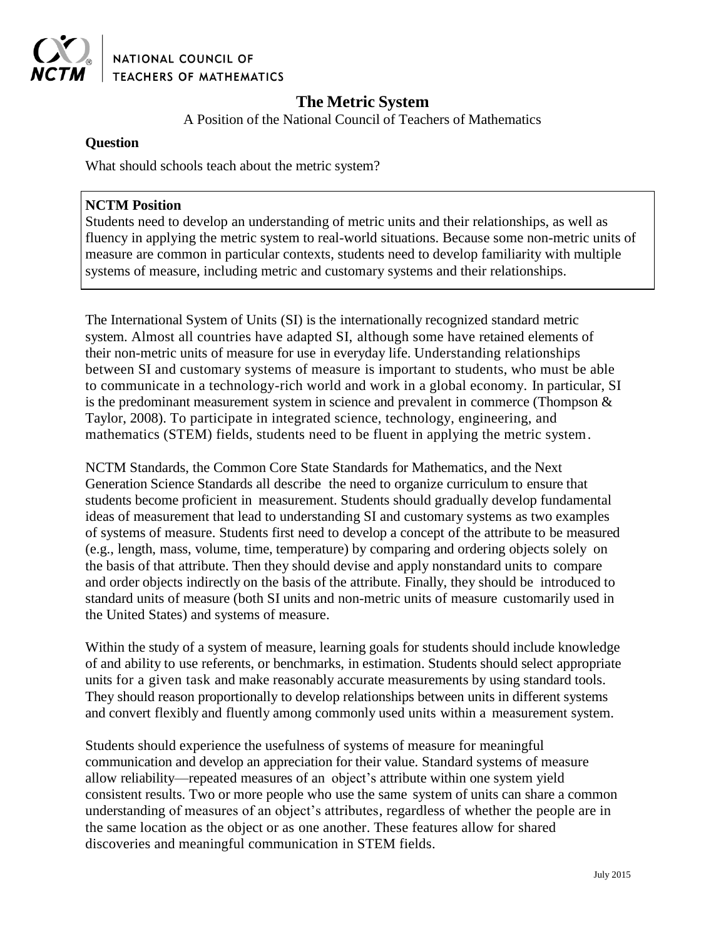

NATIONAL COUNCIL OF **TEACHERS OF MATHEMATICS** 

# **The Metric System**

A Position of the National Council of Teachers of Mathematics

## **Question**

What should schools teach about the metric system?

### **NCTM Position**

Students need to develop an understanding of metric units and their relationships, as well as fluency in applying the metric system to real-world situations. Because some non-metric units of measure are common in particular contexts, students need to develop familiarity with multiple systems of measure, including metric and customary systems and their relationships.

The International System of Units (SI) is the internationally recognized standard metric system. Almost all countries have adapted SI, although some have retained elements of their non-metric units of measure for use in everyday life. Understanding relationships between SI and customary systems of measure is important to students, who must be able to communicate in a technology-rich world and work in a global economy. In particular, SI is the predominant measurement system in science and prevalent in commerce (Thompson & Taylor, 2008). To participate in integrated science, technology, engineering, and mathematics (STEM) fields, students need to be fluent in applying the metric system.

NCTM Standards, the Common Core State Standards for Mathematics, and the Next Generation Science Standards all describe the need to organize curriculum to ensure that students become proficient in measurement. Students should gradually develop fundamental ideas of measurement that lead to understanding SI and customary systems as two examples of systems of measure. Students first need to develop a concept of the attribute to be measured (e.g., length, mass, volume, time, temperature) by comparing and ordering objects solely on the basis of that attribute. Then they should devise and apply nonstandard units to compare and order objects indirectly on the basis of the attribute. Finally, they should be introduced to standard units of measure (both SI units and non-metric units of measure customarily used in the United States) and systems of measure.

Within the study of a system of measure, learning goals for students should include knowledge of and ability to use referents, or benchmarks, in estimation. Students should select appropriate units for a given task and make reasonably accurate measurements by using standard tools. They should reason proportionally to develop relationships between units in different systems and convert flexibly and fluently among commonly used units within a measurement system.

Students should experience the usefulness of systems of measure for meaningful communication and develop an appreciation for their value. Standard systems of measure allow reliability—repeated measures of an object's attribute within one system yield consistent results. Two or more people who use the same system of units can share a common understanding of measures of an object's attributes, regardless of whether the people are in the same location as the object or as one another. These features allow for shared discoveries and meaningful communication in STEM fields.